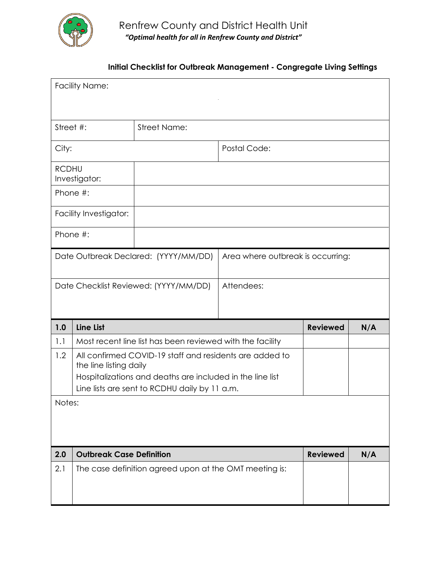

## **Initial Checklist for Outbreak Management - Congregate Living Settings**

|              | <b>Facility Name:</b>           |                                                           | $\alpha$                          |                 |     |
|--------------|---------------------------------|-----------------------------------------------------------|-----------------------------------|-----------------|-----|
|              |                                 |                                                           |                                   |                 |     |
| Street #:    |                                 | <b>Street Name:</b>                                       |                                   |                 |     |
| City:        |                                 |                                                           | <b>Postal Code:</b>               |                 |     |
| <b>RCDHU</b> | Investigator:                   |                                                           |                                   |                 |     |
| Phone #:     |                                 |                                                           |                                   |                 |     |
|              | Facility Investigator:          |                                                           |                                   |                 |     |
| Phone #:     |                                 |                                                           |                                   |                 |     |
|              |                                 | Date Outbreak Declared: (YYYY/MM/DD)                      | Area where outbreak is occurring: |                 |     |
|              |                                 |                                                           |                                   |                 |     |
|              |                                 | Date Checklist Reviewed: (YYYY/MM/DD)                     | Attendees:                        |                 |     |
|              |                                 |                                                           |                                   |                 |     |
| 1.0          | <b>Line List</b>                |                                                           |                                   | <b>Reviewed</b> | N/A |
| 1.1          |                                 | Most recent line list has been reviewed with the facility |                                   |                 |     |
| 1.2          |                                 | All confirmed COVID-19 staff and residents are added to   |                                   |                 |     |
|              | the line listing daily          | Hospitalizations and deaths are included in the line list |                                   |                 |     |
|              |                                 | Line lists are sent to RCDHU daily by 11 a.m.             |                                   |                 |     |
| Notes:       |                                 |                                                           |                                   |                 |     |
|              |                                 |                                                           |                                   |                 |     |
|              |                                 |                                                           |                                   |                 |     |
| 2.0          | <b>Outbreak Case Definition</b> |                                                           |                                   | <b>Reviewed</b> | N/A |
| 2.1          |                                 | The case definition agreed upon at the OMT meeting is:    |                                   |                 |     |
|              |                                 |                                                           |                                   |                 |     |
|              |                                 |                                                           |                                   |                 |     |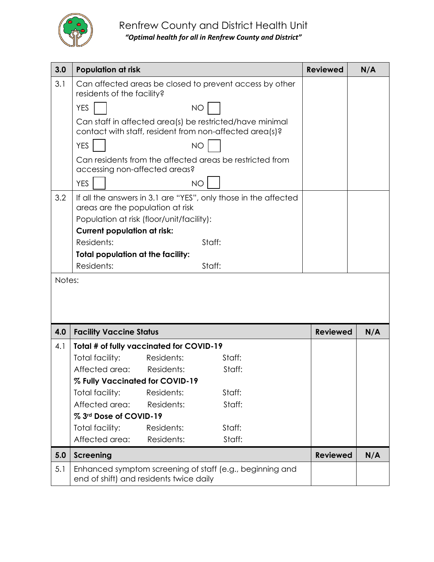

## Renfrew County and District Health Unit *"Optimal health for all in Renfrew County and District"*

| 3.0    | <b>Population at risk</b>                                                                                                                                                                                      | <b>Reviewed</b> | N/A |
|--------|----------------------------------------------------------------------------------------------------------------------------------------------------------------------------------------------------------------|-----------------|-----|
| 3.1    | Can affected areas be closed to prevent access by other<br>residents of the facility?                                                                                                                          |                 |     |
|        | <b>YES</b><br><b>NO</b>                                                                                                                                                                                        |                 |     |
|        | Can staff in affected area(s) be restricted/have minimal<br>contact with staff, resident from non-affected area(s)?                                                                                            |                 |     |
|        | <b>YES</b><br><b>NO</b>                                                                                                                                                                                        |                 |     |
|        | Can residents from the affected areas be restricted from<br>accessing non-affected areas?                                                                                                                      |                 |     |
|        | <b>YES</b><br><b>NO</b>                                                                                                                                                                                        |                 |     |
| 3.2    | If all the answers in 3.1 are "YES", only those in the affected<br>areas are the population at risk<br>Population at risk (floor/unit/facility):<br><b>Current population at risk:</b><br>Residents:<br>Staff: |                 |     |
|        | <b>Total population at the facility:</b>                                                                                                                                                                       |                 |     |
|        | Residents:<br>Staff:                                                                                                                                                                                           |                 |     |
| Notes: |                                                                                                                                                                                                                |                 |     |
| 4.0    | <b>Facility Vaccine Status</b>                                                                                                                                                                                 | <b>Reviewed</b> | N/A |
| 4.1    | Total # of fully vaccinated for COVID-19                                                                                                                                                                       |                 |     |
|        | Total facility:<br>Residents:<br>Staff:                                                                                                                                                                        |                 |     |
|        | Affected area:<br>Staff:<br>Residents:                                                                                                                                                                         |                 |     |
|        | % Fully Vaccinated for COVID-19                                                                                                                                                                                |                 |     |
|        | Total facility:<br>Residents:<br>Staff:                                                                                                                                                                        |                 |     |
|        | Affected area:<br>Residents:<br>Staff:                                                                                                                                                                         |                 |     |
|        | % 3rd Dose of COVID-19                                                                                                                                                                                         |                 |     |
|        | Total facility:<br>Residents:<br>Staff:                                                                                                                                                                        |                 |     |
|        | Affected area:<br>Residents:<br>Staff:                                                                                                                                                                         |                 |     |
| 5.0    | <b>Screening</b>                                                                                                                                                                                               | <b>Reviewed</b> | N/A |
| 5.1    | Enhanced symptom screening of staff (e.g., beginning and<br>end of shift) and residents twice daily                                                                                                            |                 |     |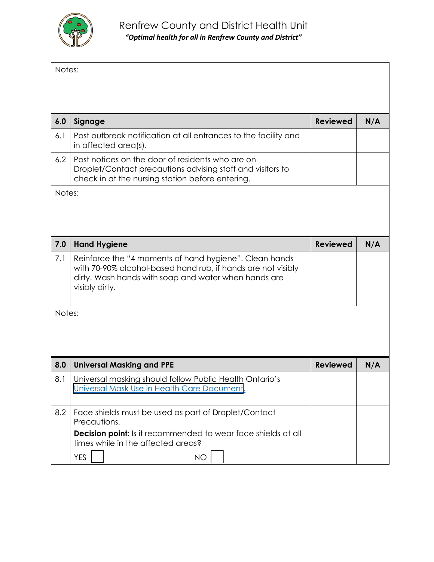

| Notes: |                                                                                                                                                                                                  |                 |     |
|--------|--------------------------------------------------------------------------------------------------------------------------------------------------------------------------------------------------|-----------------|-----|
|        |                                                                                                                                                                                                  |                 |     |
|        |                                                                                                                                                                                                  |                 |     |
| 6.0    | Signage                                                                                                                                                                                          | <b>Reviewed</b> | N/A |
| 6.1    | Post outbreak notification at all entrances to the facility and<br>in affected area(s).                                                                                                          |                 |     |
| 6.2    | Post notices on the door of residents who are on<br>Droplet/Contact precautions advising staff and visitors to<br>check in at the nursing station before entering.                               |                 |     |
| Notes: |                                                                                                                                                                                                  |                 |     |
|        |                                                                                                                                                                                                  |                 |     |
|        |                                                                                                                                                                                                  |                 |     |
|        |                                                                                                                                                                                                  |                 |     |
| 7.0    | <b>Hand Hygiene</b>                                                                                                                                                                              | <b>Reviewed</b> | N/A |
| 7.1    | Reinforce the "4 moments of hand hygiene". Clean hands<br>with 70-90% alcohol-based hand rub, if hands are not visibly<br>dirty. Wash hands with soap and water when hands are<br>visibly dirty. |                 |     |
| Notes: |                                                                                                                                                                                                  |                 |     |
|        |                                                                                                                                                                                                  |                 |     |
|        |                                                                                                                                                                                                  |                 |     |
|        |                                                                                                                                                                                                  |                 |     |
| 8.0    | <b>Universal Masking and PPE</b>                                                                                                                                                                 | <b>Reviewed</b> | N/A |
| 8.1    | Universal masking should follow Public Health Ontario's<br>Universal Mask Use in Health Care Document.                                                                                           |                 |     |
|        |                                                                                                                                                                                                  |                 |     |
| 8.2    | Face shields must be used as part of Droplet/Contact<br>Precautions.                                                                                                                             |                 |     |
|        | <b>Decision point:</b> Is it recommended to wear face shields at all<br>times while in the affected areas?                                                                                       |                 |     |
|        | <b>YES</b><br><b>NO</b>                                                                                                                                                                          |                 |     |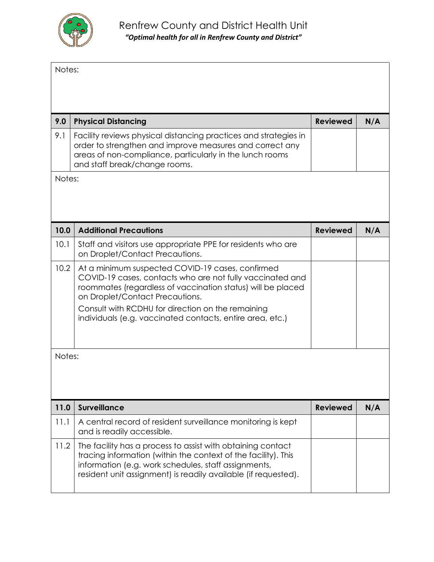

| Notes: |                                                                                                                                                                                                                                                                                                                                   |                 |     |
|--------|-----------------------------------------------------------------------------------------------------------------------------------------------------------------------------------------------------------------------------------------------------------------------------------------------------------------------------------|-----------------|-----|
|        |                                                                                                                                                                                                                                                                                                                                   |                 |     |
|        |                                                                                                                                                                                                                                                                                                                                   |                 |     |
| 9.0    | <b>Physical Distancing</b>                                                                                                                                                                                                                                                                                                        | <b>Reviewed</b> | N/A |
| 9.1    | Facility reviews physical distancing practices and strategies in<br>order to strengthen and improve measures and correct any<br>areas of non-compliance, particularly in the lunch rooms<br>and staff break/change rooms.                                                                                                         |                 |     |
| Notes: |                                                                                                                                                                                                                                                                                                                                   |                 |     |
|        |                                                                                                                                                                                                                                                                                                                                   |                 |     |
|        |                                                                                                                                                                                                                                                                                                                                   |                 |     |
| 10.0   | <b>Additional Precautions</b>                                                                                                                                                                                                                                                                                                     | <b>Reviewed</b> | N/A |
| 10.1   | Staff and visitors use appropriate PPE for residents who are<br>on Droplet/Contact Precautions.                                                                                                                                                                                                                                   |                 |     |
| 10.2   | At a minimum suspected COVID-19 cases, confirmed<br>COVID-19 cases, contacts who are not fully vaccinated and<br>roommates (regardless of vaccination status) will be placed<br>on Droplet/Contact Precautions.<br>Consult with RCDHU for direction on the remaining<br>individuals (e.g. vaccinated contacts, entire area, etc.) |                 |     |
| Notes: |                                                                                                                                                                                                                                                                                                                                   |                 |     |
| 11.0   | <b>Surveillance</b>                                                                                                                                                                                                                                                                                                               | <b>Reviewed</b> | N/A |
| 11.1   | A central record of resident surveillance monitoring is kept<br>and is readily accessible.                                                                                                                                                                                                                                        |                 |     |
| 11.2   | The facility has a process to assist with obtaining contact<br>tracing information (within the context of the facility). This<br>information (e.g. work schedules, staff assignments,<br>resident unit assignment) is readily available (if requested).                                                                           |                 |     |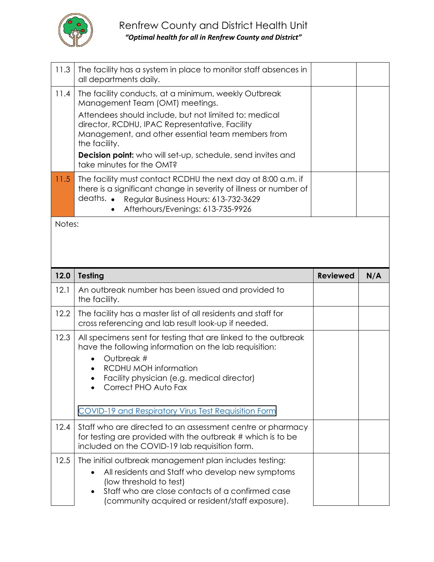

| 11.3   | The facility has a system in place to monitor staff absences in<br>all departments daily.                                                                                                                                                                                                                                                                                   |                 |     |
|--------|-----------------------------------------------------------------------------------------------------------------------------------------------------------------------------------------------------------------------------------------------------------------------------------------------------------------------------------------------------------------------------|-----------------|-----|
| 11.4   | The facility conducts, at a minimum, weekly Outbreak<br>Management Team (OMT) meetings.<br>Attendees should include, but not limited to: medical<br>director, RCDHU, IPAC Representative, Facility<br>Management, and other essential team members from<br>the facility.<br><b>Decision point:</b> who will set-up, schedule, send invites and<br>take minutes for the OMT? |                 |     |
| 11.5   | The facility must contact RCDHU the next day at 8:00 a.m. if<br>there is a significant change in severity of illness or number of<br>deaths. • Regular Business Hours: 613-732-3629<br>Afterhours/Evenings: 613-735-9926<br>$\bullet$                                                                                                                                       |                 |     |
| Notes: |                                                                                                                                                                                                                                                                                                                                                                             |                 |     |
| 12.0   | Testing                                                                                                                                                                                                                                                                                                                                                                     | <b>Reviewed</b> | N/A |
|        |                                                                                                                                                                                                                                                                                                                                                                             |                 |     |
| 12.1   | An outbreak number has been issued and provided to<br>the facility.                                                                                                                                                                                                                                                                                                         |                 |     |
| 12.2   | The facility has a master list of all residents and staff for<br>cross referencing and lab result look-up if needed.                                                                                                                                                                                                                                                        |                 |     |
| 12.3   | All specimens sent for testing that are linked to the outbreak<br>have the following information on the lab requisition:<br>Outbreak #<br>$\bullet$<br><b>RCDHU MOH information</b><br>Facility physician (e.g. medical director)<br>Correct PHO Auto Fax                                                                                                                   |                 |     |
|        | <b>COVID-19 and Respiratory Virus Test Requisition Form</b>                                                                                                                                                                                                                                                                                                                 |                 |     |
| 12.4   | Staff who are directed to an assessment centre or pharmacy<br>for testing are provided with the outbreak # which is to be<br>included on the COVID-19 lab requisition form.                                                                                                                                                                                                 |                 |     |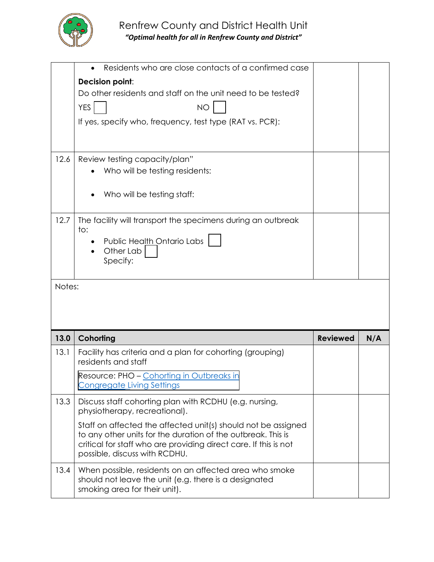

|        | Residents who are close contacts of a confirmed case                                              |                 |     |
|--------|---------------------------------------------------------------------------------------------------|-----------------|-----|
|        | Decision point:                                                                                   |                 |     |
|        | Do other residents and staff on the unit need to be tested?                                       |                 |     |
|        | <b>YES</b><br><b>NO</b>                                                                           |                 |     |
|        | If yes, specify who, frequency, test type (RAT vs. PCR):                                          |                 |     |
|        |                                                                                                   |                 |     |
|        |                                                                                                   |                 |     |
| 12.6   | Review testing capacity/plan"<br>Who will be testing residents:                                   |                 |     |
|        |                                                                                                   |                 |     |
|        | Who will be testing staff:                                                                        |                 |     |
|        |                                                                                                   |                 |     |
| 12.7   | The facility will transport the specimens during an outbreak<br>to:                               |                 |     |
|        | Public Health Ontario Labs                                                                        |                 |     |
|        | Other Lab                                                                                         |                 |     |
|        | Specify:                                                                                          |                 |     |
|        |                                                                                                   |                 |     |
|        |                                                                                                   |                 |     |
| Notes: |                                                                                                   |                 |     |
|        |                                                                                                   |                 |     |
|        |                                                                                                   |                 |     |
| 13.0   | Cohorting                                                                                         | <b>Reviewed</b> | N/A |
| 13.1   | Facility has criteria and a plan for cohorting (grouping)<br>residents and staff                  |                 |     |
|        | Resource: PHO - Cohorting in Outbreaks in                                                         |                 |     |
|        | <b>Congregate Living Settings</b>                                                                 |                 |     |
| 13.3   | Discuss staff cohorting plan with RCDHU (e.g. nursing,<br>physiotherapy, recreational).           |                 |     |
|        | Staff on affected the affected unit(s) should not be assigned                                     |                 |     |
|        | to any other units for the duration of the outbreak. This is                                      |                 |     |
|        | critical for staff who are providing direct care. If this is not<br>possible, discuss with RCDHU. |                 |     |
| 13.4   | When possible, residents on an affected area who smoke                                            |                 |     |
|        | should not leave the unit (e.g. there is a designated<br>smoking area for their unit).            |                 |     |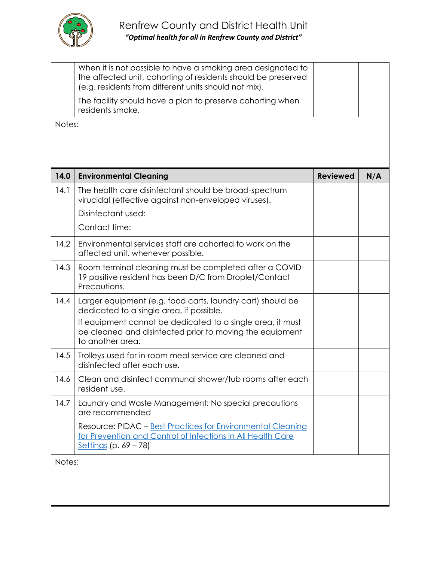

|        | When it is not possible to have a smoking area designated to<br>the affected unit, cohorting of residents should be preserved<br>(e.g. residents from different units should not mix). |                 |     |
|--------|----------------------------------------------------------------------------------------------------------------------------------------------------------------------------------------|-----------------|-----|
|        | The facility should have a plan to preserve cohorting when<br>residents smoke.                                                                                                         |                 |     |
| Notes: |                                                                                                                                                                                        |                 |     |
|        |                                                                                                                                                                                        |                 |     |
|        |                                                                                                                                                                                        |                 |     |
| 14.0   | <b>Environmental Cleaning</b>                                                                                                                                                          | <b>Reviewed</b> | N/A |
| 14.1   | The health care disinfectant should be broad-spectrum<br>virucidal (effective against non-enveloped viruses).                                                                          |                 |     |
|        | Disinfectant used:                                                                                                                                                                     |                 |     |
|        | Contact time:                                                                                                                                                                          |                 |     |
| 14.2   | Environmental services staff are cohorted to work on the<br>affected unit, whenever possible.                                                                                          |                 |     |
| 14.3   | Room terminal cleaning must be completed after a COVID-<br>19 positive resident has been D/C from Droplet/Contact<br>Precautions.                                                      |                 |     |
| 14.4   | Larger equipment (e.g. food carts, laundry cart) should be<br>dedicated to a single area, if possible.                                                                                 |                 |     |
|        | If equipment cannot be dedicated to a single area, it must<br>be cleaned and disinfected prior to moving the equipment<br>to another area.                                             |                 |     |
| 14.5   | Trolleys used for in-room meal service are cleaned and<br>disinfected after each use.                                                                                                  |                 |     |
| 14.6   | Clean and disinfect communal shower/tub rooms after each<br>resident use.                                                                                                              |                 |     |
| 14.7   | Laundry and Waste Management: No special precautions<br>are recommended                                                                                                                |                 |     |
|        | Resource: PIDAC - Best Practices for Environmental Cleaning<br>for Prevention and Control of Infections in All Health Care<br>Settings (p. 69 - 78)                                    |                 |     |
| Notes: |                                                                                                                                                                                        |                 |     |
|        |                                                                                                                                                                                        |                 |     |
|        |                                                                                                                                                                                        |                 |     |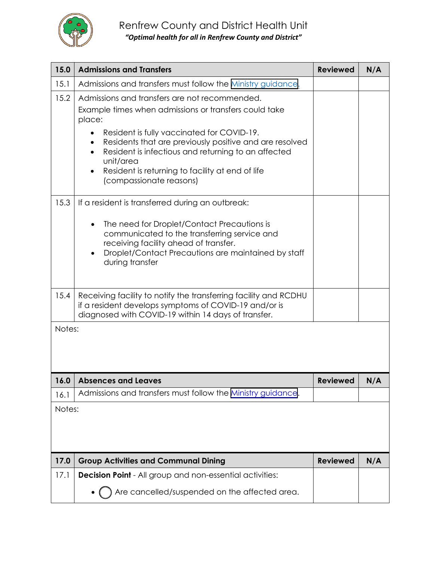

| 15.0   | <b>Admissions and Transfers</b>                                                                                                                                                                                              | <b>Reviewed</b> | N/A |
|--------|------------------------------------------------------------------------------------------------------------------------------------------------------------------------------------------------------------------------------|-----------------|-----|
| 15.1   | Admissions and transfers must follow the Ministry guidance.                                                                                                                                                                  |                 |     |
| 15.2   | Admissions and transfers are not recommended.<br>Example times when admissions or transfers could take<br>place:<br>Resident is fully vaccinated for COVID-19.                                                               |                 |     |
|        | Residents that are previously positive and are resolved<br>٠<br>Resident is infectious and returning to an affected<br>$\bullet$<br>unit/area<br>Resident is returning to facility at end of life<br>(compassionate reasons) |                 |     |
| 15.3   | If a resident is transferred during an outbreak:                                                                                                                                                                             |                 |     |
|        | The need for Droplet/Contact Precautions is<br>communicated to the transferring service and<br>receiving facility ahead of transfer.<br>Droplet/Contact Precautions are maintained by staff<br>$\bullet$<br>during transfer  |                 |     |
| 15.4   | Receiving facility to notify the transferring facility and RCDHU<br>if a resident develops symptoms of COVID-19 and/or is<br>diagnosed with COVID-19 within 14 days of transfer.                                             |                 |     |
| Notes: |                                                                                                                                                                                                                              |                 |     |
| 16.0   | <b>Absences and Leaves</b>                                                                                                                                                                                                   | <b>Reviewed</b> | N/A |
| 16.1   | Admissions and transfers must follow the Ministry guidance.                                                                                                                                                                  |                 |     |
| Notes: |                                                                                                                                                                                                                              |                 |     |
| 17.0   | <b>Group Activities and Communal Dining</b>                                                                                                                                                                                  | <b>Reviewed</b> | N/A |
| 17.1   | <b>Decision Point</b> - All group and non-essential activities:                                                                                                                                                              |                 |     |
|        | Are cancelled/suspended on the affected area.<br>$\bullet$ (                                                                                                                                                                 |                 |     |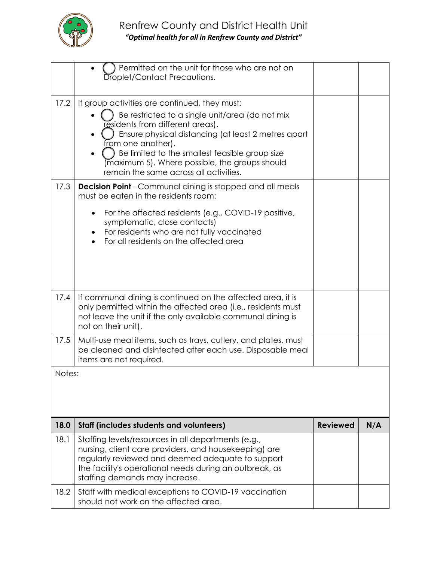

|        | Permitted on the unit for those who are not on<br>Droplet/Contact Precautions.                                                                                                                                                                                                                                                                                  |                 |     |
|--------|-----------------------------------------------------------------------------------------------------------------------------------------------------------------------------------------------------------------------------------------------------------------------------------------------------------------------------------------------------------------|-----------------|-----|
| 17.2   | If group activities are continued, they must:<br>Be restricted to a single unit/area (do not mix<br>residents from different areas).<br>Ensure physical distancing (at least 2 metres apart<br>from one another).<br>Be limited to the smallest feasible group size<br>(maximum 5). Where possible, the groups should<br>remain the same across all activities. |                 |     |
| 17.3   | <b>Decision Point</b> - Communal dining is stopped and all meals<br>must be eaten in the residents room:<br>For the affected residents (e.g., COVID-19 positive,<br>$\bullet$<br>symptomatic, close contacts)<br>For residents who are not fully vaccinated<br>٠<br>For all residents on the affected area                                                      |                 |     |
| 17.4   | If communal dining is continued on the affected area, it is<br>only permitted within the affected area (i.e., residents must<br>not leave the unit if the only available communal dining is<br>not on their unit).                                                                                                                                              |                 |     |
| 17.5   | Multi-use meal items, such as trays, cutlery, and plates, must<br>be cleaned and disinfected after each use. Disposable meal<br>items are not required.                                                                                                                                                                                                         |                 |     |
| Notes: |                                                                                                                                                                                                                                                                                                                                                                 |                 |     |
| 18.0   | Staff (includes students and volunteers)                                                                                                                                                                                                                                                                                                                        | <b>Reviewed</b> | N/A |
| 18.1   | Staffing levels/resources in all departments (e.g.,<br>nursing, client care providers, and housekeeping) are<br>regularly reviewed and deemed adequate to support<br>the facility's operational needs during an outbreak, as<br>staffing demands may increase.                                                                                                  |                 |     |
|        |                                                                                                                                                                                                                                                                                                                                                                 |                 |     |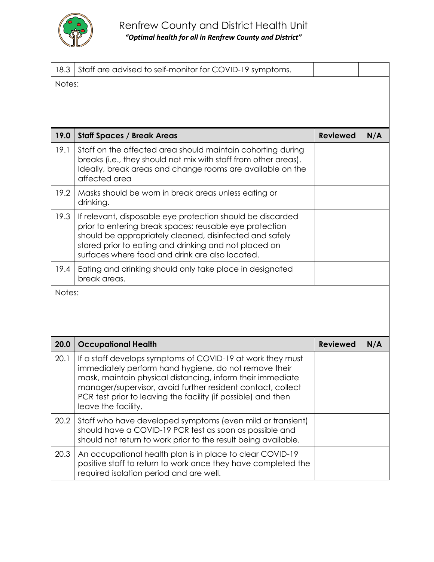

| 18.3   | Staff are advised to self-monitor for COVID-19 symptoms.                                                                                                                                                                                                                                                                                 |                 |     |
|--------|------------------------------------------------------------------------------------------------------------------------------------------------------------------------------------------------------------------------------------------------------------------------------------------------------------------------------------------|-----------------|-----|
| Notes: |                                                                                                                                                                                                                                                                                                                                          |                 |     |
|        |                                                                                                                                                                                                                                                                                                                                          |                 |     |
| 19.0   | <b>Staff Spaces / Break Areas</b>                                                                                                                                                                                                                                                                                                        | <b>Reviewed</b> | N/A |
| 19.1   | Staff on the affected area should maintain cohorting during<br>breaks (i.e., they should not mix with staff from other areas).<br>Ideally, break areas and change rooms are available on the<br>affected area                                                                                                                            |                 |     |
| 19.2   | Masks should be worn in break areas unless eating or<br>drinking.                                                                                                                                                                                                                                                                        |                 |     |
| 19.3   | If relevant, disposable eye protection should be discarded<br>prior to entering break spaces; reusable eye protection<br>should be appropriately cleaned, disinfected and safely<br>stored prior to eating and drinking and not placed on<br>surfaces where food and drink are also located.                                             |                 |     |
| 19.4   | Eating and drinking should only take place in designated<br>break areas.                                                                                                                                                                                                                                                                 |                 |     |
| Notes: |                                                                                                                                                                                                                                                                                                                                          |                 |     |
| 20.0   | <b>Occupational Health</b>                                                                                                                                                                                                                                                                                                               | <b>Reviewed</b> | N/A |
| 20.1   | If a staff develops symptoms of COVID-19 at work they must<br>immediately perform hand hygiene, do not remove their<br>mask, maintain physical distancing, inform their immediate<br>manager/supervisor, avoid further resident contact, collect<br>PCR test prior to leaving the facility (if possible) and then<br>leave the facility. |                 |     |
| 20.2   | Staff who have developed symptoms (even mild or transient)<br>should have a COVID-19 PCR test as soon as possible and<br>should not return to work prior to the result being available.                                                                                                                                                  |                 |     |
| 20.3   | An occupational health plan is in place to clear COVID-19<br>positive staff to return to work once they have completed the<br>required isolation period and are well.                                                                                                                                                                    |                 |     |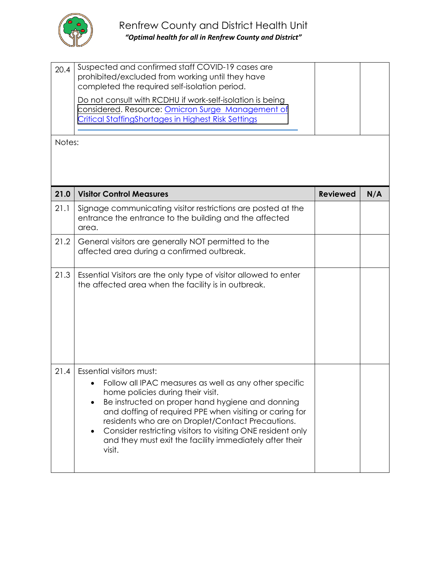

| 20.4   | Suspected and confirmed staff COVID-19 cases are<br>prohibited/excluded from working until they have<br>completed the required self-isolation period.<br>Do not consult with RCDHU if work-self-isolation is being<br>considered. Resource: Omicron Surge Management of<br>Critical StaffingShortages in Highest Risk Settings                                                                                                                            |                 |     |
|--------|-----------------------------------------------------------------------------------------------------------------------------------------------------------------------------------------------------------------------------------------------------------------------------------------------------------------------------------------------------------------------------------------------------------------------------------------------------------|-----------------|-----|
| Notes: |                                                                                                                                                                                                                                                                                                                                                                                                                                                           |                 |     |
| 21.0   | <b>Visitor Control Measures</b>                                                                                                                                                                                                                                                                                                                                                                                                                           | <b>Reviewed</b> | N/A |
| 21.1   | Signage communicating visitor restrictions are posted at the<br>entrance the entrance to the building and the affected<br>area.                                                                                                                                                                                                                                                                                                                           |                 |     |
| 21.2   | General visitors are generally NOT permitted to the<br>affected area during a confirmed outbreak.                                                                                                                                                                                                                                                                                                                                                         |                 |     |
| 21.3   | Essential Visitors are the only type of visitor allowed to enter<br>the affected area when the facility is in outbreak.                                                                                                                                                                                                                                                                                                                                   |                 |     |
| 21.4   | Essential visitors must:<br>Follow all IPAC measures as well as any other specific<br>home policies during their visit.<br>Be instructed on proper hand hygiene and donning<br>$\bullet$<br>and doffing of required PPE when visiting or caring for<br>residents who are on Droplet/Contact Precautions.<br>Consider restricting visitors to visiting ONE resident only<br>$\bullet$<br>and they must exit the facility immediately after their<br>visit. |                 |     |